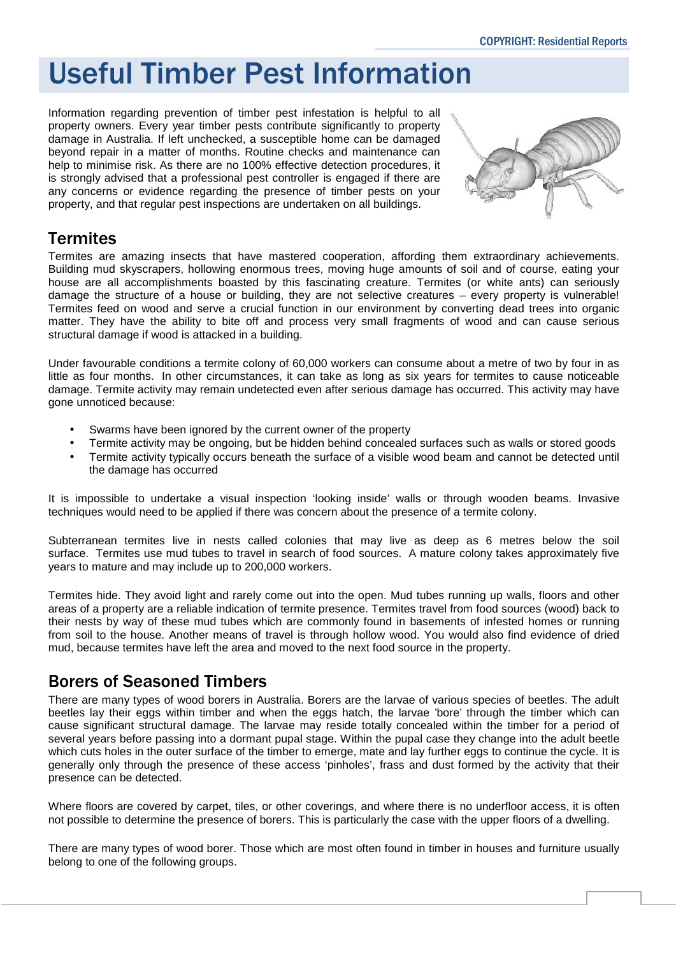# Useful Timber Pest Information

Information regarding prevention of timber pest infestation is helpful to all property owners. Every year timber pests contribute significantly to property damage in Australia. If left unchecked, a susceptible home can be damaged beyond repair in a matter of months. Routine checks and maintenance can help to minimise risk. As there are no 100% effective detection procedures, it is strongly advised that a professional pest controller is engaged if there are any concerns or evidence regarding the presence of timber pests on your property, and that regular pest inspections are undertaken on all buildings.



## **Termites**

Termites are amazing insects that have mastered cooperation, affording them extraordinary achievements. Building mud skyscrapers, hollowing enormous trees, moving huge amounts of soil and of course, eating your house are all accomplishments boasted by this fascinating creature. Termites (or white ants) can seriously damage the structure of a house or building, they are not selective creatures – every property is vulnerable! Termites feed on wood and serve a crucial function in our environment by converting dead trees into organic matter. They have the ability to bite off and process very small fragments of wood and can cause serious structural damage if wood is attacked in a building.

Under favourable conditions a termite colony of 60,000 workers can consume about a metre of two by four in as little as four months. In other circumstances, it can take as long as six years for termites to cause noticeable damage. Termite activity may remain undetected even after serious damage has occurred. This activity may have gone unnoticed because:

- Swarms have been ignored by the current owner of the property
- Termite activity may be ongoing, but be hidden behind concealed surfaces such as walls or stored goods
- Termite activity typically occurs beneath the surface of a visible wood beam and cannot be detected until the damage has occurred

It is impossible to undertake a visual inspection 'looking inside' walls or through wooden beams. Invasive techniques would need to be applied if there was concern about the presence of a termite colony.

Subterranean termites live in nests called colonies that may live as deep as 6 metres below the soil surface. Termites use mud tubes to travel in search of food sources. A mature colony takes approximately five years to mature and may include up to 200,000 workers.

Termites hide. They avoid light and rarely come out into the open. Mud tubes running up walls, floors and other areas of a property are a reliable indication of termite presence. Termites travel from food sources (wood) back to their nests by way of these mud tubes which are commonly found in basements of infested homes or running from soil to the house. Another means of travel is through hollow wood. You would also find evidence of dried mud, because termites have left the area and moved to the next food source in the property.

## Borers of Seasoned Timbers

There are many types of wood borers in Australia. Borers are the larvae of various species of beetles. The adult beetles lay their eggs within timber and when the eggs hatch, the larvae 'bore' through the timber which can cause significant structural damage. The larvae may reside totally concealed within the timber for a period of several years before passing into a dormant pupal stage. Within the pupal case they change into the adult beetle which cuts holes in the outer surface of the timber to emerge, mate and lay further eggs to continue the cycle. It is generally only through the presence of these access 'pinholes', frass and dust formed by the activity that their presence can be detected.

Where floors are covered by carpet, tiles, or other coverings, and where there is no underfloor access, it is often not possible to determine the presence of borers. This is particularly the case with the upper floors of a dwelling.

There are many types of wood borer. Those which are most often found in timber in houses and furniture usually belong to one of the following groups.